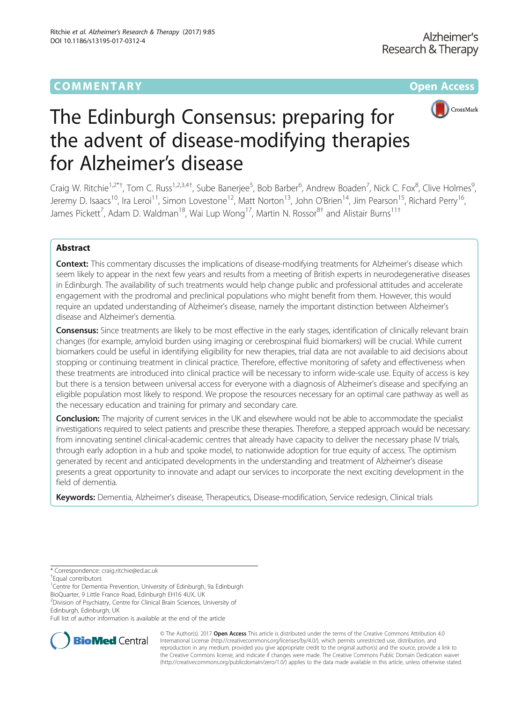# **COMMENTARY COMMENTARY** And the community of the community of the community of the community of the community of the community of the community of the community of the community of the community of the community of the com



# The Edinburgh Consensus: preparing for the advent of disease-modifying therapies for Alzheimer's disease

Craig W. Ritchie<sup>1,2\*†</sup>, Tom C. Russ<sup>1,2,3,4†</sup>, Sube Banerjee<sup>5</sup>, Bob Barber<sup>6</sup>, Andrew Boaden<sup>7</sup>, Nick C. Fox<sup>8</sup>, Clive Holmes<sup>9</sup> , Jeremy D. Isaacs<sup>10</sup>, Ira Leroi<sup>11</sup>, Simon Lovestone<sup>12</sup>, Matt Norton<sup>13</sup>, John O'Brien<sup>14</sup>, Jim Pearson<sup>15</sup>, Richard Perry<sup>16</sup>, James Pickett<sup>7</sup>, Adam D. Waldman<sup>18</sup>, Wai Lup Wong<sup>17</sup>, Martin N. Rossor<sup>8†</sup> and Alistair Burns<sup>11†</sup>

# Abstract

Context: This commentary discusses the implications of disease-modifying treatments for Alzheimer's disease which seem likely to appear in the next few years and results from a meeting of British experts in neurodegenerative diseases in Edinburgh. The availability of such treatments would help change public and professional attitudes and accelerate engagement with the prodromal and preclinical populations who might benefit from them. However, this would require an updated understanding of Alzheimer's disease, namely the important distinction between Alzheimer's disease and Alzheimer's dementia.

Consensus: Since treatments are likely to be most effective in the early stages, identification of clinically relevant brain changes (for example, amyloid burden using imaging or cerebrospinal fluid biomarkers) will be crucial. While current biomarkers could be useful in identifying eligibility for new therapies, trial data are not available to aid decisions about stopping or continuing treatment in clinical practice. Therefore, effective monitoring of safety and effectiveness when these treatments are introduced into clinical practice will be necessary to inform wide-scale use. Equity of access is key but there is a tension between universal access for everyone with a diagnosis of Alzheimer's disease and specifying an eligible population most likely to respond. We propose the resources necessary for an optimal care pathway as well as the necessary education and training for primary and secondary care.

Conclusion: The majority of current services in the UK and elsewhere would not be able to accommodate the specialist investigations required to select patients and prescribe these therapies. Therefore, a stepped approach would be necessary: from innovating sentinel clinical-academic centres that already have capacity to deliver the necessary phase IV trials, through early adoption in a hub and spoke model, to nationwide adoption for true equity of access. The optimism generated by recent and anticipated developments in the understanding and treatment of Alzheimer's disease presents a great opportunity to innovate and adapt our services to incorporate the next exciting development in the field of dementia.

Keywords: Dementia, Alzheimer's disease, Therapeutics, Disease-modification, Service redesign, Clinical trials

\* Correspondence: [craig.ritchie@ed.ac.uk](mailto:craig.ritchie@ed.ac.uk) †

Equal contributors

<sup>1</sup>Centre for Dementia Prevention, University of Edinburgh, 9a Edinburgh BioQuarter, 9 Little France Road, Edinburgh EH16 4UX, UK

2 Division of Psychiatry, Centre for Clinical Brain Sciences, University of

Edinburgh, Edinburgh, UK

Full list of author information is available at the end of the article



© The Author(s). 2017 **Open Access** This article is distributed under the terms of the Creative Commons Attribution 4.0 International License [\(http://creativecommons.org/licenses/by/4.0/](http://creativecommons.org/licenses/by/4.0/)), which permits unrestricted use, distribution, and reproduction in any medium, provided you give appropriate credit to the original author(s) and the source, provide a link to the Creative Commons license, and indicate if changes were made. The Creative Commons Public Domain Dedication waiver [\(http://creativecommons.org/publicdomain/zero/1.0/](http://creativecommons.org/publicdomain/zero/1.0/)) applies to the data made available in this article, unless otherwise stated.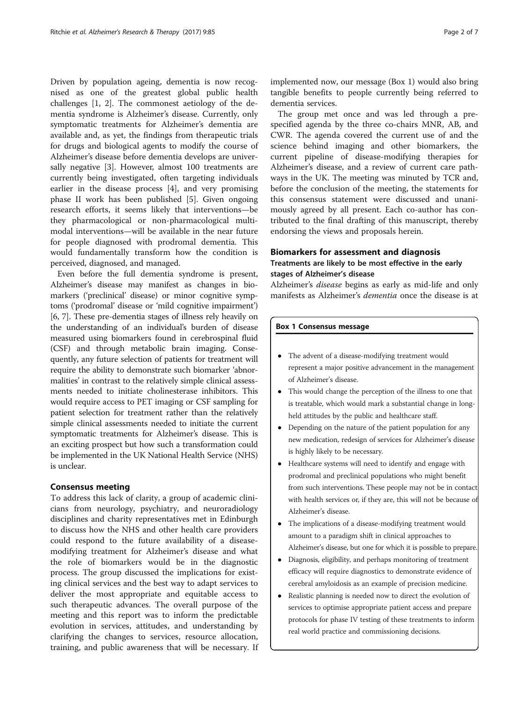Driven by population ageing, dementia is now recognised as one of the greatest global public health challenges [\[1](#page-6-0), [2\]](#page-6-0). The commonest aetiology of the dementia syndrome is Alzheimer's disease. Currently, only symptomatic treatments for Alzheimer's dementia are available and, as yet, the findings from therapeutic trials for drugs and biological agents to modify the course of Alzheimer's disease before dementia develops are universally negative [\[3](#page-6-0)]. However, almost 100 treatments are currently being investigated, often targeting individuals earlier in the disease process [\[4](#page-6-0)], and very promising phase II work has been published [[5\]](#page-6-0). Given ongoing research efforts, it seems likely that interventions—be they pharmacological or non-pharmacological multimodal interventions—will be available in the near future for people diagnosed with prodromal dementia. This would fundamentally transform how the condition is perceived, diagnosed, and managed.

Even before the full dementia syndrome is present, Alzheimer's disease may manifest as changes in biomarkers ('preclinical' disease) or minor cognitive symptoms ('prodromal' disease or 'mild cognitive impairment') [[6, 7\]](#page-6-0). These pre-dementia stages of illness rely heavily on the understanding of an individual's burden of disease measured using biomarkers found in cerebrospinal fluid (CSF) and through metabolic brain imaging. Consequently, any future selection of patients for treatment will require the ability to demonstrate such biomarker 'abnormalities' in contrast to the relatively simple clinical assessments needed to initiate cholinesterase inhibitors. This would require access to PET imaging or CSF sampling for patient selection for treatment rather than the relatively simple clinical assessments needed to initiate the current symptomatic treatments for Alzheimer's disease. This is an exciting prospect but how such a transformation could be implemented in the UK National Health Service (NHS) is unclear.

## Consensus meeting

To address this lack of clarity, a group of academic clinicians from neurology, psychiatry, and neuroradiology disciplines and charity representatives met in Edinburgh to discuss how the NHS and other health care providers could respond to the future availability of a diseasemodifying treatment for Alzheimer's disease and what the role of biomarkers would be in the diagnostic process. The group discussed the implications for existing clinical services and the best way to adapt services to deliver the most appropriate and equitable access to such therapeutic advances. The overall purpose of the meeting and this report was to inform the predictable evolution in services, attitudes, and understanding by clarifying the changes to services, resource allocation, training, and public awareness that will be necessary. If implemented now, our message (Box 1) would also bring tangible benefits to people currently being referred to dementia services.

The group met once and was led through a prespecified agenda by the three co-chairs MNR, AB, and CWR. The agenda covered the current use of and the science behind imaging and other biomarkers, the current pipeline of disease-modifying therapies for Alzheimer's disease, and a review of current care pathways in the UK. The meeting was minuted by TCR and, before the conclusion of the meeting, the statements for this consensus statement were discussed and unanimously agreed by all present. Each co-author has contributed to the final drafting of this manuscript, thereby endorsing the views and proposals herein.

# Biomarkers for assessment and diagnosis Treatments are likely to be most effective in the early stages of Alzheimer's disease

Alzheimer's disease begins as early as mid-life and only manifests as Alzheimer's dementia once the disease is at

## Box 1 Consensus message

- The advent of a disease-modifying treatment would represent a major positive advancement in the management of Alzheimer's disease.
- This would change the perception of the illness to one that is treatable, which would mark a substantial change in longheld attitudes by the public and healthcare staff.
- Depending on the nature of the patient population for any new medication, redesign of services for Alzheimer's disease is highly likely to be necessary.
- Healthcare systems will need to identify and engage with prodromal and preclinical populations who might benefit from such interventions. These people may not be in contact with health services or, if they are, this will not be because of Alzheimer's disease.
- The implications of a disease-modifying treatment would amount to a paradigm shift in clinical approaches to Alzheimer's disease, but one for which it is possible to prepare.
- Diagnosis, eligibility, and perhaps monitoring of treatment efficacy will require diagnostics to demonstrate evidence of cerebral amyloidosis as an example of precision medicine.
- Realistic planning is needed now to direct the evolution of services to optimise appropriate patient access and prepare protocols for phase IV testing of these treatments to inform real world practice and commissioning decisions.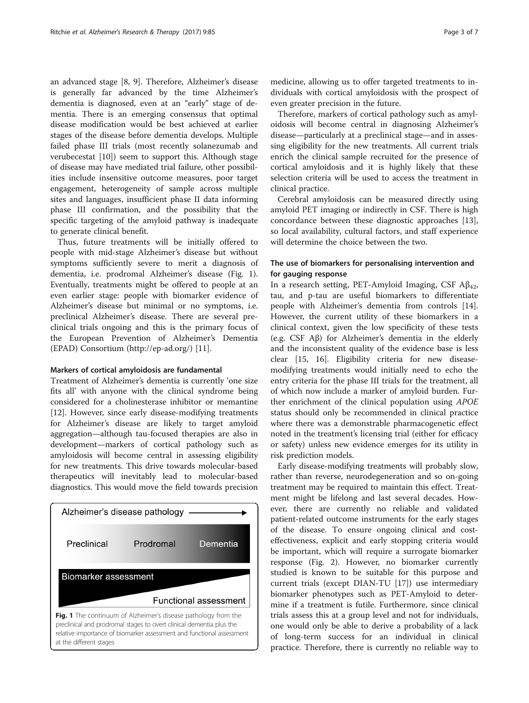an advanced stage [\[8](#page-6-0), [9](#page-6-0)]. Therefore, Alzheimer's disease is generally far advanced by the time Alzheimer's dementia is diagnosed, even at an "early" stage of dementia. There is an emerging consensus that optimal disease modification would be best achieved at earlier stages of the disease before dementia develops. Multiple failed phase III trials (most recently solanezumab and verubecestat [[10](#page-6-0)]) seem to support this. Although stage of disease may have mediated trial failure, other possibilities include insensitive outcome measures, poor target engagement, heterogeneity of sample across multiple sites and languages, insufficient phase II data informing phase III confirmation, and the possibility that the specific targeting of the amyloid pathway is inadequate to generate clinical benefit.

Thus, future treatments will be initially offered to people with mid-stage Alzheimer's disease but without symptoms sufficiently severe to merit a diagnosis of dementia, i.e. prodromal Alzheimer's disease (Fig. 1). Eventually, treatments might be offered to people at an even earlier stage: people with biomarker evidence of Alzheimer's disease but minimal or no symptoms, i.e. preclinical Alzheimer's disease. There are several preclinical trials ongoing and this is the primary focus of the European Prevention of Alzheimer's Dementia (EPAD) Consortium ([http://ep-ad.org/\)](http://ep-ad.org/) [\[11\]](#page-6-0).

#### Markers of cortical amyloidosis are fundamental

Treatment of Alzheimer's dementia is currently 'one size fits all' with anyone with the clinical syndrome being considered for a cholinesterase inhibitor or memantine [[12\]](#page-6-0). However, since early disease-modifying treatments for Alzheimer's disease are likely to target amyloid aggregation—although tau-focused therapies are also in development—markers of cortical pathology such as amyloidosis will become central in assessing eligibility for new treatments. This drive towards molecular-based therapeutics will inevitably lead to molecular-based diagnostics. This would move the field towards precision



medicine, allowing us to offer targeted treatments to individuals with cortical amyloidosis with the prospect of even greater precision in the future.

Therefore, markers of cortical pathology such as amyloidosis will become central in diagnosing Alzheimer's disease—particularly at a preclinical stage—and in assessing eligibility for the new treatments. All current trials enrich the clinical sample recruited for the presence of cortical amyloidosis and it is highly likely that these selection criteria will be used to access the treatment in clinical practice.

Cerebral amyloidosis can be measured directly using amyloid PET imaging or indirectly in CSF. There is high concordance between these diagnostic approaches [\[13](#page-6-0)], so local availability, cultural factors, and staff experience will determine the choice between the two.

# The use of biomarkers for personalising intervention and for gauging response

In a research setting, PET-Amyloid Imaging, CSF  $A\beta_{42}$ , tau, and p-tau are useful biomarkers to differentiate people with Alzheimer's dementia from controls [\[14](#page-6-0)]. However, the current utility of these biomarkers in a clinical context, given the low specificity of these tests (e.g. CSF Aβ) for Alzheimer's dementia in the elderly and the inconsistent quality of the evidence base is less clear [\[15](#page-6-0), [16](#page-6-0)]. Eligibility criteria for new diseasemodifying treatments would initially need to echo the entry criteria for the phase III trials for the treatment, all of which now include a marker of amyloid burden. Further enrichment of the clinical population using APOE status should only be recommended in clinical practice where there was a demonstrable pharmacogenetic effect noted in the treatment's licensing trial (either for efficacy or safety) unless new evidence emerges for its utility in risk prediction models.

Early disease-modifying treatments will probably slow, rather than reverse, neurodegeneration and so on-going treatment may be required to maintain this effect. Treatment might be lifelong and last several decades. However, there are currently no reliable and validated patient-related outcome instruments for the early stages of the disease. To ensure ongoing clinical and costeffectiveness, explicit and early stopping criteria would be important, which will require a surrogate biomarker response (Fig. [2](#page-3-0)). However, no biomarker currently studied is known to be suitable for this purpose and current trials (except DIAN-TU [[17\]](#page-6-0)) use intermediary biomarker phenotypes such as PET-Amyloid to determine if a treatment is futile. Furthermore, since clinical trials assess this at a group level and not for individuals, one would only be able to derive a probability of a lack of long-term success for an individual in clinical practice. Therefore, there is currently no reliable way to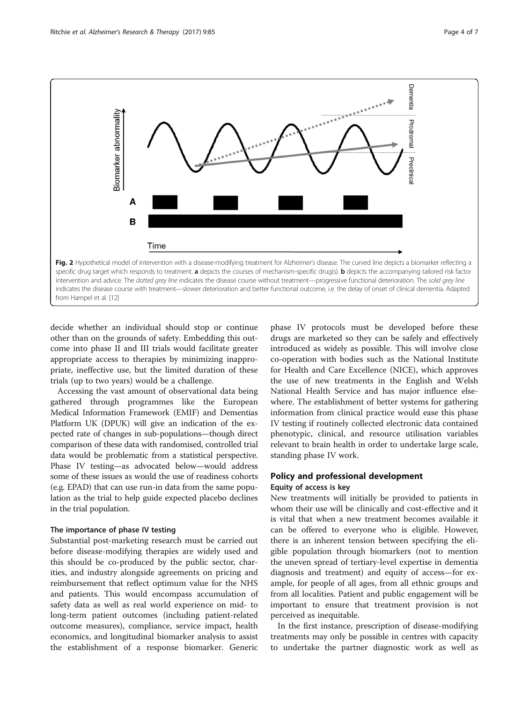<span id="page-3-0"></span>

decide whether an individual should stop or continue other than on the grounds of safety. Embedding this outcome into phase II and III trials would facilitate greater appropriate access to therapies by minimizing inappropriate, ineffective use, but the limited duration of these trials (up to two years) would be a challenge.

Accessing the vast amount of observational data being gathered through programmes like the European Medical Information Framework (EMIF) and Dementias Platform UK (DPUK) will give an indication of the expected rate of changes in sub-populations—though direct comparison of these data with randomised, controlled trial data would be problematic from a statistical perspective. Phase IV testing—as advocated below—would address some of these issues as would the use of readiness cohorts (e.g. EPAD) that can use run-in data from the same population as the trial to help guide expected placebo declines in the trial population.

# The importance of phase IV testing

Substantial post-marketing research must be carried out before disease-modifying therapies are widely used and this should be co-produced by the public sector, charities, and industry alongside agreements on pricing and reimbursement that reflect optimum value for the NHS and patients. This would encompass accumulation of safety data as well as real world experience on mid- to long-term patient outcomes (including patient-related outcome measures), compliance, service impact, health economics, and longitudinal biomarker analysis to assist the establishment of a response biomarker. Generic

phase IV protocols must be developed before these drugs are marketed so they can be safely and effectively introduced as widely as possible. This will involve close co-operation with bodies such as the National Institute for Health and Care Excellence (NICE), which approves the use of new treatments in the English and Welsh National Health Service and has major influence elsewhere. The establishment of better systems for gathering information from clinical practice would ease this phase IV testing if routinely collected electronic data contained phenotypic, clinical, and resource utilisation variables relevant to brain health in order to undertake large scale, standing phase IV work.

# Policy and professional development Equity of access is key

New treatments will initially be provided to patients in whom their use will be clinically and cost-effective and it is vital that when a new treatment becomes available it can be offered to everyone who is eligible. However, there is an inherent tension between specifying the eligible population through biomarkers (not to mention the uneven spread of tertiary-level expertise in dementia diagnosis and treatment) and equity of access—for example, for people of all ages, from all ethnic groups and from all localities. Patient and public engagement will be important to ensure that treatment provision is not perceived as inequitable.

In the first instance, prescription of disease-modifying treatments may only be possible in centres with capacity to undertake the partner diagnostic work as well as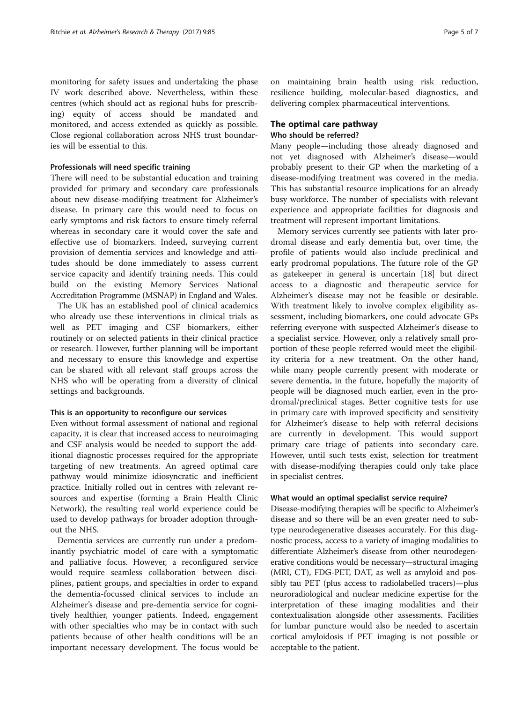monitoring for safety issues and undertaking the phase IV work described above. Nevertheless, within these centres (which should act as regional hubs for prescribing) equity of access should be mandated and monitored, and access extended as quickly as possible. Close regional collaboration across NHS trust boundaries will be essential to this.

# Professionals will need specific training

There will need to be substantial education and training provided for primary and secondary care professionals about new disease-modifying treatment for Alzheimer's disease. In primary care this would need to focus on early symptoms and risk factors to ensure timely referral whereas in secondary care it would cover the safe and effective use of biomarkers. Indeed, surveying current provision of dementia services and knowledge and attitudes should be done immediately to assess current service capacity and identify training needs. This could build on the existing Memory Services National Accreditation Programme (MSNAP) in England and Wales.

The UK has an established pool of clinical academics who already use these interventions in clinical trials as well as PET imaging and CSF biomarkers, either routinely or on selected patients in their clinical practice or research. However, further planning will be important and necessary to ensure this knowledge and expertise can be shared with all relevant staff groups across the NHS who will be operating from a diversity of clinical settings and backgrounds.

## This is an opportunity to reconfigure our services

Even without formal assessment of national and regional capacity, it is clear that increased access to neuroimaging and CSF analysis would be needed to support the additional diagnostic processes required for the appropriate targeting of new treatments. An agreed optimal care pathway would minimize idiosyncratic and inefficient practice. Initially rolled out in centres with relevant resources and expertise (forming a Brain Health Clinic Network), the resulting real world experience could be used to develop pathways for broader adoption throughout the NHS.

Dementia services are currently run under a predominantly psychiatric model of care with a symptomatic and palliative focus. However, a reconfigured service would require seamless collaboration between disciplines, patient groups, and specialties in order to expand the dementia-focussed clinical services to include an Alzheimer's disease and pre-dementia service for cognitively healthier, younger patients. Indeed, engagement with other specialties who may be in contact with such patients because of other health conditions will be an important necessary development. The focus would be on maintaining brain health using risk reduction, resilience building, molecular-based diagnostics, and delivering complex pharmaceutical interventions.

# The optimal care pathway Who should be referred?

Many people—including those already diagnosed and not yet diagnosed with Alzheimer's disease—would probably present to their GP when the marketing of a disease-modifying treatment was covered in the media. This has substantial resource implications for an already busy workforce. The number of specialists with relevant experience and appropriate facilities for diagnosis and treatment will represent important limitations.

Memory services currently see patients with later prodromal disease and early dementia but, over time, the profile of patients would also include preclinical and early prodromal populations. The future role of the GP as gatekeeper in general is uncertain [[18\]](#page-6-0) but direct access to a diagnostic and therapeutic service for Alzheimer's disease may not be feasible or desirable. With treatment likely to involve complex eligibility assessment, including biomarkers, one could advocate GPs referring everyone with suspected Alzheimer's disease to a specialist service. However, only a relatively small proportion of these people referred would meet the eligibility criteria for a new treatment. On the other hand, while many people currently present with moderate or severe dementia, in the future, hopefully the majority of people will be diagnosed much earlier, even in the prodromal/preclinical stages. Better cognitive tests for use in primary care with improved specificity and sensitivity for Alzheimer's disease to help with referral decisions are currently in development. This would support primary care triage of patients into secondary care. However, until such tests exist, selection for treatment with disease-modifying therapies could only take place in specialist centres.

## What would an optimal specialist service require?

Disease-modifying therapies will be specific to Alzheimer's disease and so there will be an even greater need to subtype neurodegenerative diseases accurately. For this diagnostic process, access to a variety of imaging modalities to differentiate Alzheimer's disease from other neurodegenerative conditions would be necessary—structural imaging (MRI, CT), FDG-PET, DAT, as well as amyloid and possibly tau PET (plus access to radiolabelled tracers)—plus neuroradiological and nuclear medicine expertise for the interpretation of these imaging modalities and their contextualisation alongside other assessments. Facilities for lumbar puncture would also be needed to ascertain cortical amyloidosis if PET imaging is not possible or acceptable to the patient.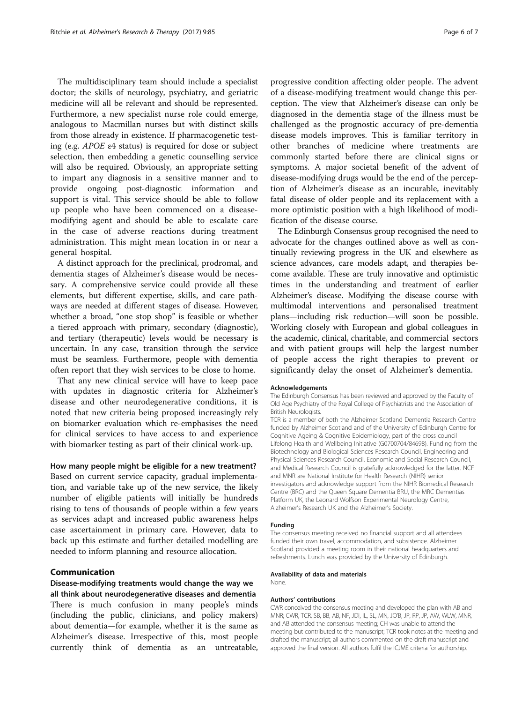The multidisciplinary team should include a specialist doctor; the skills of neurology, psychiatry, and geriatric medicine will all be relevant and should be represented. Furthermore, a new specialist nurse role could emerge, analogous to Macmillan nurses but with distinct skills from those already in existence. If pharmacogenetic testing (e.g. APOE ε4 status) is required for dose or subject selection, then embedding a genetic counselling service will also be required. Obviously, an appropriate setting to impart any diagnosis in a sensitive manner and to provide ongoing post-diagnostic information and support is vital. This service should be able to follow up people who have been commenced on a diseasemodifying agent and should be able to escalate care in the case of adverse reactions during treatment administration. This might mean location in or near a general hospital.

A distinct approach for the preclinical, prodromal, and dementia stages of Alzheimer's disease would be necessary. A comprehensive service could provide all these elements, but different expertise, skills, and care pathways are needed at different stages of disease. However, whether a broad, "one stop shop" is feasible or whether a tiered approach with primary, secondary (diagnostic), and tertiary (therapeutic) levels would be necessary is uncertain. In any case, transition through the service must be seamless. Furthermore, people with dementia often report that they wish services to be close to home.

That any new clinical service will have to keep pace with updates in diagnostic criteria for Alzheimer's disease and other neurodegenerative conditions, it is noted that new criteria being proposed increasingly rely on biomarker evaluation which re-emphasises the need for clinical services to have access to and experience with biomarker testing as part of their clinical work-up.

### How many people might be eligible for a new treatment?

Based on current service capacity, gradual implementation, and variable take up of the new service, the likely number of eligible patients will initially be hundreds rising to tens of thousands of people within a few years as services adapt and increased public awareness helps case ascertainment in primary care. However, data to back up this estimate and further detailed modelling are needed to inform planning and resource allocation.

## Communication

# Disease-modifying treatments would change the way we all think about neurodegenerative diseases and dementia There is much confusion in many people's minds (including the public, clinicians, and policy makers)

about dementia—for example, whether it is the same as Alzheimer's disease. Irrespective of this, most people currently think of dementia as an untreatable,

progressive condition affecting older people. The advent of a disease-modifying treatment would change this perception. The view that Alzheimer's disease can only be diagnosed in the dementia stage of the illness must be challenged as the prognostic accuracy of pre-dementia disease models improves. This is familiar territory in other branches of medicine where treatments are commonly started before there are clinical signs or symptoms. A major societal benefit of the advent of disease-modifying drugs would be the end of the perception of Alzheimer's disease as an incurable, inevitably fatal disease of older people and its replacement with a more optimistic position with a high likelihood of modification of the disease course.

The Edinburgh Consensus group recognised the need to advocate for the changes outlined above as well as continually reviewing progress in the UK and elsewhere as science advances, care models adapt, and therapies become available. These are truly innovative and optimistic times in the understanding and treatment of earlier Alzheimer's disease. Modifying the disease course with multimodal interventions and personalised treatment plans—including risk reduction—will soon be possible. Working closely with European and global colleagues in the academic, clinical, charitable, and commercial sectors and with patient groups will help the largest number of people access the right therapies to prevent or significantly delay the onset of Alzheimer's dementia.

#### Acknowledgements

The Edinburgh Consensus has been reviewed and approved by the Faculty of Old Age Psychiatry of the Royal College of Psychiatrists and the Association of British Neurologists.

TCR is a member of both the Alzheimer Scotland Dementia Research Centre funded by Alzheimer Scotland and of the University of Edinburgh Centre for Cognitive Ageing & Cognitive Epidemiology, part of the cross council Lifelong Health and Wellbeing Initiative (G0700704/84698). Funding from the Biotechnology and Biological Sciences Research Council, Engineering and Physical Sciences Research Council, Economic and Social Research Council, and Medical Research Council is gratefully acknowledged for the latter. NCF and MNR are National Institute for Health Research (NIHR) senior investigators and acknowledge support from the NIHR Biomedical Research Centre (BRC) and the Queen Square Dementia BRU, the MRC Dementias Platform UK, the Leonard Wolfson Experimental Neurology Centre, Alzheimer's Research UK and the Alzheimer's Society.

#### Funding

The consensus meeting received no financial support and all attendees funded their own travel, accommodation, and subsistence. Alzheimer Scotland provided a meeting room in their national headquarters and refreshments. Lunch was provided by the University of Edinburgh.

#### Availability of data and materials

None.

#### Authors' contributions

CWR conceived the consensus meeting and developed the plan with AB and MNR; CWR, TCR, SB, BB, AB, NF, JDI, IL, SL, MN, JO'B, JP, RP, JP, AW, WLW, MNR, and AB attended the consensus meeting; CH was unable to attend the meeting but contributed to the manuscript; TCR took notes at the meeting and drafted the manuscript; all authors commented on the draft manuscript and approved the final version. All authors fulfil the ICJME criteria for authorship.